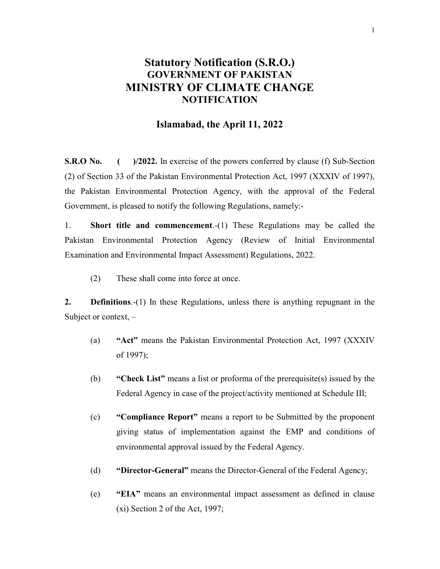### Statutory Notification (S.R.O.) GOVERNMENT OF PAKISTAN MINISTRY OF CLIMATE CHANGE NOTIFICATION

#### Islamabad, the April 11, 2022

S.R.O No. ( )/2022. In exercise of the powers conferred by clause (f) Sub-Section (2) of Section 33 of the Pakistan Environmental Protection Act, 1997 (XXXIV of 1997), the Pakistan Environmental Protection Agency, with the approval of the Federal Government, is pleased to notify the following Regulations, namely:-

1. Short title and commencement.-(1) These Regulations may be called the Pakistan Environmental Protection Agency (Review of Initial Environmental Examination and Environmental Impact Assessment) Regulations, 2022.

(2) These shall come into force at once.

2. **Definitions.-(1)** In these Regulations, unless there is anything repugnant in the Subject or context, –

- (a) "Act" means the Pakistan Environmental Protection Act, 1997 (XXXIV of 1997);
- (b) "Check List" means a list or proforma of the prerequisite(s) issued by the Federal Agency in case of the project/activity mentioned at Schedule III;
- (c) "Compliance Report" means a report to be Submitted by the proponent giving status of implementation against the EMP and conditions of environmental approval issued by the Federal Agency.
- (d) "Director-General" means the Director-General of the Federal Agency;
- (e) "EIA" means an environmental impact assessment as defined in clause (xi) Section 2 of the Act, 1997;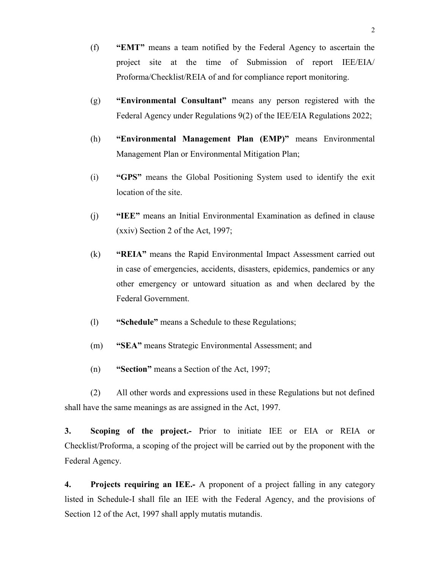- (f) "EMT" means a team notified by the Federal Agency to ascertain the project site at the time of Submission of report IEE/EIA/ Proforma/Checklist/REIA of and for compliance report monitoring.
- (g) "Environmental Consultant" means any person registered with the Federal Agency under Regulations 9(2) of the IEE/EIA Regulations 2022;
- (h) "Environmental Management Plan (EMP)" means Environmental Management Plan or Environmental Mitigation Plan;
- (i) "GPS" means the Global Positioning System used to identify the exit location of the site.
- (j) "IEE" means an Initial Environmental Examination as defined in clause (xxiv) Section 2 of the Act, 1997;
- (k) "REIA" means the Rapid Environmental Impact Assessment carried out in case of emergencies, accidents, disasters, epidemics, pandemics or any other emergency or untoward situation as and when declared by the Federal Government.
- (l) "Schedule" means a Schedule to these Regulations;
- (m) "SEA" means Strategic Environmental Assessment; and
- (n) "Section" means a Section of the Act, 1997;

 (2) All other words and expressions used in these Regulations but not defined shall have the same meanings as are assigned in the Act, 1997.

3. Scoping of the project.- Prior to initiate IEE or EIA or REIA or Checklist/Proforma, a scoping of the project will be carried out by the proponent with the Federal Agency.

4. Projects requiring an IEE.- A proponent of a project falling in any category listed in Schedule-I shall file an IEE with the Federal Agency, and the provisions of Section 12 of the Act, 1997 shall apply mutatis mutandis.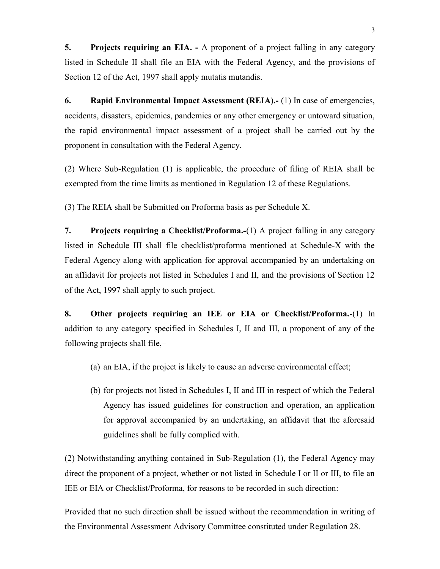5. Projects requiring an EIA. - A proponent of a project falling in any category listed in Schedule II shall file an EIA with the Federal Agency, and the provisions of Section 12 of the Act, 1997 shall apply mutatis mutandis.

6. Rapid Environmental Impact Assessment (REIA).- (1) In case of emergencies, accidents, disasters, epidemics, pandemics or any other emergency or untoward situation, the rapid environmental impact assessment of a project shall be carried out by the proponent in consultation with the Federal Agency.

(2) Where Sub-Regulation (1) is applicable, the procedure of filing of REIA shall be exempted from the time limits as mentioned in Regulation 12 of these Regulations.

(3) The REIA shall be Submitted on Proforma basis as per Schedule X.

7. Projects requiring a Checklist/Proforma.-(1) A project falling in any category listed in Schedule III shall file checklist/proforma mentioned at Schedule-X with the Federal Agency along with application for approval accompanied by an undertaking on an affidavit for projects not listed in Schedules I and II, and the provisions of Section 12 of the Act, 1997 shall apply to such project.

8. Other projects requiring an IEE or EIA or Checklist/Proforma.-(1) In addition to any category specified in Schedules I, II and III, a proponent of any of the following projects shall file,–

- (a) an EIA, if the project is likely to cause an adverse environmental effect;
- (b) for projects not listed in Schedules I, II and III in respect of which the Federal Agency has issued guidelines for construction and operation, an application for approval accompanied by an undertaking, an affidavit that the aforesaid guidelines shall be fully complied with.

(2) Notwithstanding anything contained in Sub-Regulation (1), the Federal Agency may direct the proponent of a project, whether or not listed in Schedule I or II or III, to file an IEE or EIA or Checklist/Proforma, for reasons to be recorded in such direction:

Provided that no such direction shall be issued without the recommendation in writing of the Environmental Assessment Advisory Committee constituted under Regulation 28.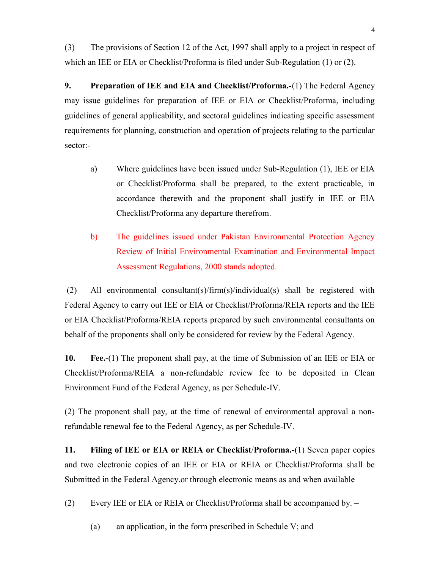(3) The provisions of Section 12 of the Act, 1997 shall apply to a project in respect of which an IEE or EIA or Checklist/Proforma is filed under Sub-Regulation (1) or (2).

9. Preparation of IEE and EIA and Checklist/Proforma.-(1) The Federal Agency may issue guidelines for preparation of IEE or EIA or Checklist/Proforma, including guidelines of general applicability, and sectoral guidelines indicating specific assessment requirements for planning, construction and operation of projects relating to the particular sector:-

- a) Where guidelines have been issued under Sub-Regulation (1), IEE or EIA or Checklist/Proforma shall be prepared, to the extent practicable, in accordance therewith and the proponent shall justify in IEE or EIA Checklist/Proforma any departure therefrom.
- b) The guidelines issued under Pakistan Environmental Protection Agency Review of Initial Environmental Examination and Environmental Impact Assessment Regulations, 2000 stands adopted.

 (2) All environmental consultant(s)/firm(s)/individual(s) shall be registered with Federal Agency to carry out IEE or EIA or Checklist/Proforma/REIA reports and the IEE or EIA Checklist/Proforma/REIA reports prepared by such environmental consultants on behalf of the proponents shall only be considered for review by the Federal Agency.

10. Fee.-(1) The proponent shall pay, at the time of Submission of an IEE or EIA or Checklist/Proforma/REIA a non-refundable review fee to be deposited in Clean Environment Fund of the Federal Agency, as per Schedule-IV.

(2) The proponent shall pay, at the time of renewal of environmental approval a nonrefundable renewal fee to the Federal Agency, as per Schedule-IV.

11. Filing of IEE or EIA or REIA or Checklist/Proforma.-(1) Seven paper copies and two electronic copies of an IEE or EIA or REIA or Checklist/Proforma shall be Submitted in the Federal Agency.or through electronic means as and when available

(2) Every IEE or EIA or REIA or Checklist/Proforma shall be accompanied by. –

(a) an application, in the form prescribed in Schedule V; and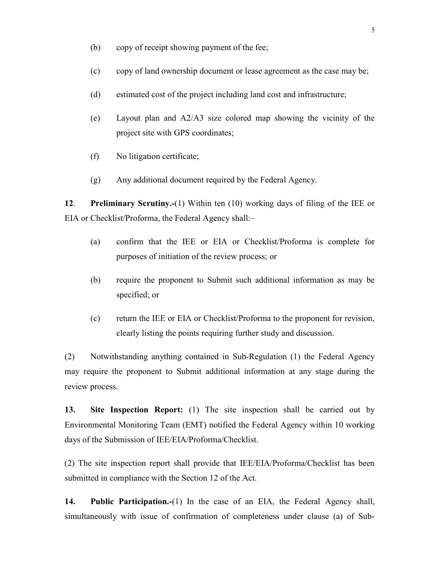- (b) copy of receipt showing payment of the fee;
- (c) copy of land ownership document or lease agreement as the case may be;
- (d) estimated cost of the project including land cost and infrastructure;
- (e) Layout plan and A2/A3 size colored map showing the vicinity of the project site with GPS coordinates;
- (f) No litigation certificate;
- (g) Any additional document required by the Federal Agency.

12. Preliminary Scrutiny.-(1) Within ten (10) working days of filing of the IEE or EIA or Checklist/Proforma, the Federal Agency shall:–

- (a) confirm that the IEE or EIA or Checklist/Proforma is complete for purposes of initiation of the review process; or
- (b) require the proponent to Submit such additional information as may be specified; or
- (c) return the IEE or EIA or Checklist/Proforma to the proponent for revision, clearly listing the points requiring further study and discussion.

(2) Notwithstanding anything contained in Sub-Regulation (1) the Federal Agency may require the proponent to Submit additional information at any stage during the review process.

13. Site Inspection Report: (1) The site inspection shall be carried out by Environmental Monitoring Team (EMT) notified the Federal Agency within 10 working days of the Submission of IEE/EIA/Proforma/Checklist.

(2) The site inspection report shall provide that IEE/EIA/Proforma/Checklist has been submitted in compliance with the Section 12 of the Act.

14. Public Participation.-(1) In the case of an EIA, the Federal Agency shall, simultaneously with issue of confirmation of completeness under clause (a) of Sub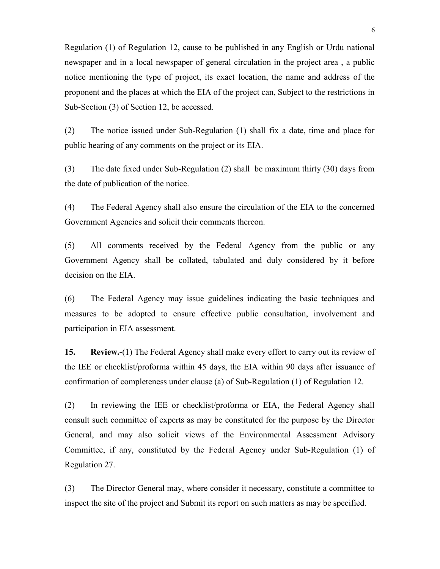Regulation (1) of Regulation 12, cause to be published in any English or Urdu national newspaper and in a local newspaper of general circulation in the project area , a public notice mentioning the type of project, its exact location, the name and address of the proponent and the places at which the EIA of the project can, Subject to the restrictions in Sub-Section (3) of Section 12, be accessed.

(2) The notice issued under Sub-Regulation (1) shall fix a date, time and place for public hearing of any comments on the project or its EIA.

(3) The date fixed under Sub-Regulation (2) shall be maximum thirty (30) days from the date of publication of the notice.

(4) The Federal Agency shall also ensure the circulation of the EIA to the concerned Government Agencies and solicit their comments thereon.

(5) All comments received by the Federal Agency from the public or any Government Agency shall be collated, tabulated and duly considered by it before decision on the EIA.

(6) The Federal Agency may issue guidelines indicating the basic techniques and measures to be adopted to ensure effective public consultation, involvement and participation in EIA assessment.

15. Review.-(1) The Federal Agency shall make every effort to carry out its review of the IEE or checklist/proforma within 45 days, the EIA within 90 days after issuance of confirmation of completeness under clause (a) of Sub-Regulation (1) of Regulation 12.

(2) In reviewing the IEE or checklist/proforma or EIA, the Federal Agency shall consult such committee of experts as may be constituted for the purpose by the Director General, and may also solicit views of the Environmental Assessment Advisory Committee, if any, constituted by the Federal Agency under Sub-Regulation (1) of Regulation 27.

(3) The Director General may, where consider it necessary, constitute a committee to inspect the site of the project and Submit its report on such matters as may be specified.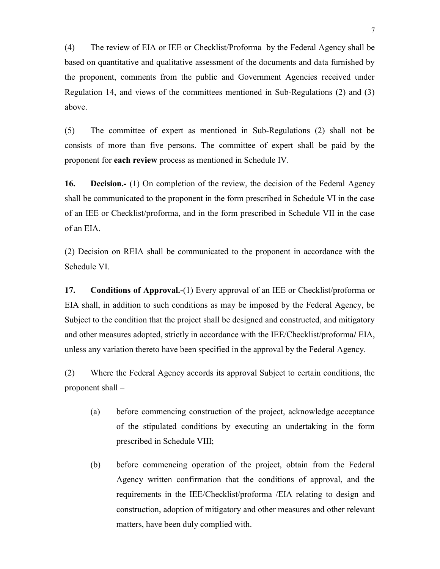(4) The review of EIA or IEE or Checklist/Proforma by the Federal Agency shall be based on quantitative and qualitative assessment of the documents and data furnished by the proponent, comments from the public and Government Agencies received under Regulation 14, and views of the committees mentioned in Sub-Regulations (2) and (3) above.

(5) The committee of expert as mentioned in Sub-Regulations (2) shall not be consists of more than five persons. The committee of expert shall be paid by the proponent for each review process as mentioned in Schedule IV.

16. Decision.- (1) On completion of the review, the decision of the Federal Agency shall be communicated to the proponent in the form prescribed in Schedule VI in the case of an IEE or Checklist/proforma, and in the form prescribed in Schedule VII in the case of an EIA.

(2) Decision on REIA shall be communicated to the proponent in accordance with the Schedule VI.

17. Conditions of Approval.-(1) Every approval of an IEE or Checklist/proforma or EIA shall, in addition to such conditions as may be imposed by the Federal Agency, be Subject to the condition that the project shall be designed and constructed, and mitigatory and other measures adopted, strictly in accordance with the IEE/Checklist/proforma/ EIA, unless any variation thereto have been specified in the approval by the Federal Agency.

(2) Where the Federal Agency accords its approval Subject to certain conditions, the proponent shall –

- (a) before commencing construction of the project, acknowledge acceptance of the stipulated conditions by executing an undertaking in the form prescribed in Schedule VIII;
- (b) before commencing operation of the project, obtain from the Federal Agency written confirmation that the conditions of approval, and the requirements in the IEE/Checklist/proforma /EIA relating to design and construction, adoption of mitigatory and other measures and other relevant matters, have been duly complied with.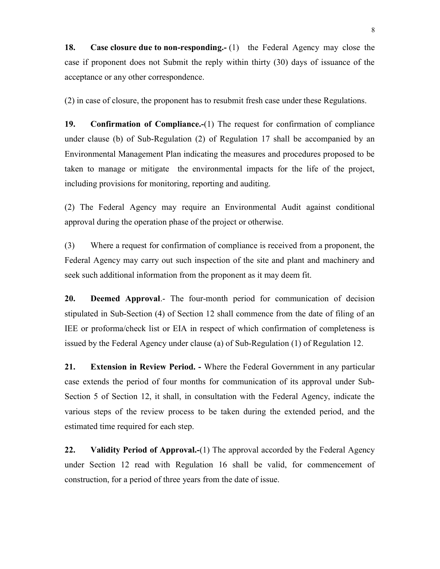18. Case closure due to non-responding.- (1) the Federal Agency may close the case if proponent does not Submit the reply within thirty (30) days of issuance of the acceptance or any other correspondence.

(2) in case of closure, the proponent has to resubmit fresh case under these Regulations.

19. Confirmation of Compliance.-(1) The request for confirmation of compliance under clause (b) of Sub-Regulation (2) of Regulation 17 shall be accompanied by an Environmental Management Plan indicating the measures and procedures proposed to be taken to manage or mitigate the environmental impacts for the life of the project, including provisions for monitoring, reporting and auditing.

(2) The Federal Agency may require an Environmental Audit against conditional approval during the operation phase of the project or otherwise.

(3) Where a request for confirmation of compliance is received from a proponent, the Federal Agency may carry out such inspection of the site and plant and machinery and seek such additional information from the proponent as it may deem fit.

20. Deemed Approval.- The four-month period for communication of decision stipulated in Sub-Section (4) of Section 12 shall commence from the date of filing of an IEE or proforma/check list or EIA in respect of which confirmation of completeness is issued by the Federal Agency under clause (a) of Sub-Regulation (1) of Regulation 12.

21. Extension in Review Period. - Where the Federal Government in any particular case extends the period of four months for communication of its approval under Sub-Section 5 of Section 12, it shall, in consultation with the Federal Agency, indicate the various steps of the review process to be taken during the extended period, and the estimated time required for each step.

22. Validity Period of Approval.-(1) The approval accorded by the Federal Agency under Section 12 read with Regulation 16 shall be valid, for commencement of construction, for a period of three years from the date of issue.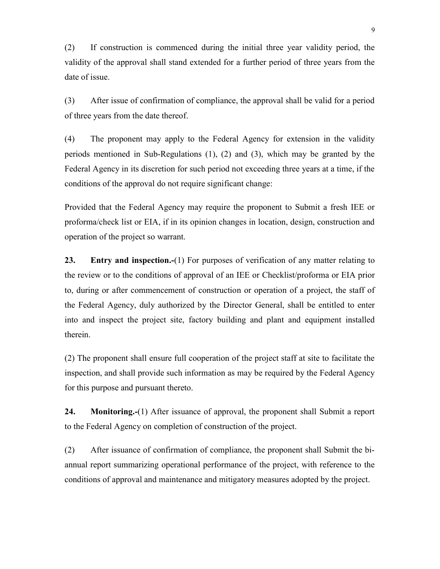(2) If construction is commenced during the initial three year validity period, the validity of the approval shall stand extended for a further period of three years from the date of issue.

(3) After issue of confirmation of compliance, the approval shall be valid for a period of three years from the date thereof.

(4) The proponent may apply to the Federal Agency for extension in the validity periods mentioned in Sub-Regulations (1), (2) and (3), which may be granted by the Federal Agency in its discretion for such period not exceeding three years at a time, if the conditions of the approval do not require significant change:

Provided that the Federal Agency may require the proponent to Submit a fresh IEE or proforma/check list or EIA, if in its opinion changes in location, design, construction and operation of the project so warrant.

23. Entry and inspection.-(1) For purposes of verification of any matter relating to the review or to the conditions of approval of an IEE or Checklist/proforma or EIA prior to, during or after commencement of construction or operation of a project, the staff of the Federal Agency, duly authorized by the Director General, shall be entitled to enter into and inspect the project site, factory building and plant and equipment installed therein.

(2) The proponent shall ensure full cooperation of the project staff at site to facilitate the inspection, and shall provide such information as may be required by the Federal Agency for this purpose and pursuant thereto.

24. Monitoring.-(1) After issuance of approval, the proponent shall Submit a report to the Federal Agency on completion of construction of the project.

(2) After issuance of confirmation of compliance, the proponent shall Submit the biannual report summarizing operational performance of the project, with reference to the conditions of approval and maintenance and mitigatory measures adopted by the project.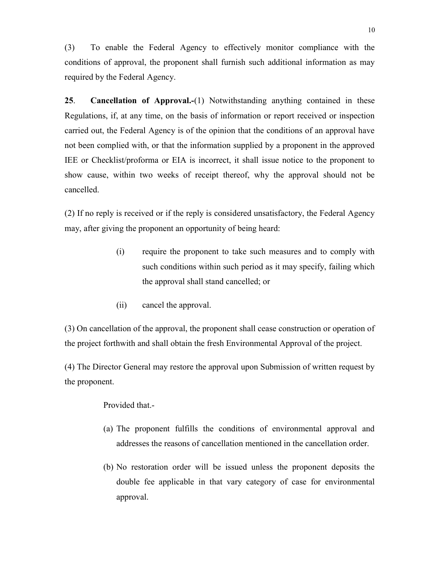(3) To enable the Federal Agency to effectively monitor compliance with the conditions of approval, the proponent shall furnish such additional information as may required by the Federal Agency.

25. Cancellation of Approval.-(1) Notwithstanding anything contained in these Regulations, if, at any time, on the basis of information or report received or inspection carried out, the Federal Agency is of the opinion that the conditions of an approval have not been complied with, or that the information supplied by a proponent in the approved IEE or Checklist/proforma or EIA is incorrect, it shall issue notice to the proponent to show cause, within two weeks of receipt thereof, why the approval should not be cancelled.

(2) If no reply is received or if the reply is considered unsatisfactory, the Federal Agency may, after giving the proponent an opportunity of being heard:

- (i) require the proponent to take such measures and to comply with such conditions within such period as it may specify, failing which the approval shall stand cancelled; or
- (ii) cancel the approval.

(3) On cancellation of the approval, the proponent shall cease construction or operation of the project forthwith and shall obtain the fresh Environmental Approval of the project.

(4) The Director General may restore the approval upon Submission of written request by the proponent.

Provided that.-

- (a) The proponent fulfills the conditions of environmental approval and addresses the reasons of cancellation mentioned in the cancellation order.
- (b) No restoration order will be issued unless the proponent deposits the double fee applicable in that vary category of case for environmental approval.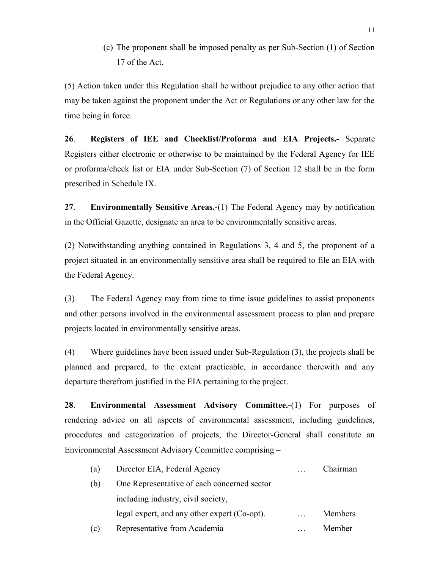(c) The proponent shall be imposed penalty as per Sub-Section (1) of Section 17 of the Act.

(5) Action taken under this Regulation shall be without prejudice to any other action that may be taken against the proponent under the Act or Regulations or any other law for the time being in force.

26. Registers of IEE and Checklist/Proforma and EIA Projects.- Separate Registers either electronic or otherwise to be maintained by the Federal Agency for IEE or proforma/check list or EIA under Sub-Section (7) of Section 12 shall be in the form prescribed in Schedule IX.

27. Environmentally Sensitive Areas.-(1) The Federal Agency may by notification in the Official Gazette, designate an area to be environmentally sensitive areas.

(2) Notwithstanding anything contained in Regulations 3, 4 and 5, the proponent of a project situated in an environmentally sensitive area shall be required to file an EIA with the Federal Agency.

(3) The Federal Agency may from time to time issue guidelines to assist proponents and other persons involved in the environmental assessment process to plan and prepare projects located in environmentally sensitive areas.

(4) Where guidelines have been issued under Sub-Regulation (3), the projects shall be planned and prepared, to the extent practicable, in accordance therewith and any departure therefrom justified in the EIA pertaining to the project.

28. Environmental Assessment Advisory Committee.-(1) For purposes of rendering advice on all aspects of environmental assessment, including guidelines, procedures and categorization of projects, the Director-General shall constitute an Environmental Assessment Advisory Committee comprising –

| (a) | Director EIA, Federal Agency                 | Chairman |
|-----|----------------------------------------------|----------|
| (b) | One Representative of each concerned sector  |          |
|     | including industry, civil society,           |          |
|     | legal expert, and any other expert (Co-opt). | Members  |
| (c) | Representative from Academia                 | Member   |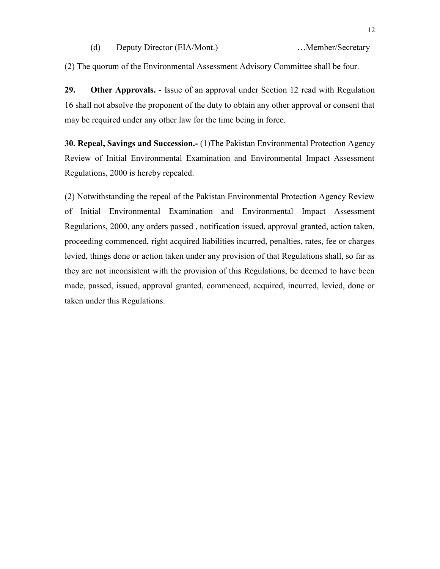(d) Deputy Director (EIA/Mont.) …Member/Secretary

(2) The quorum of the Environmental Assessment Advisory Committee shall be four.

29. Other Approvals. - Issue of an approval under Section 12 read with Regulation 16 shall not absolve the proponent of the duty to obtain any other approval or consent that may be required under any other law for the time being in force.

30. Repeal, Savings and Succession.- (1)The Pakistan Environmental Protection Agency Review of Initial Environmental Examination and Environmental Impact Assessment Regulations, 2000 is hereby repealed.

(2) Notwithstanding the repeal of the Pakistan Environmental Protection Agency Review of Initial Environmental Examination and Environmental Impact Assessment Regulations, 2000, any orders passed , notification issued, approval granted, action taken, proceeding commenced, right acquired liabilities incurred, penalties, rates, fee or charges levied, things done or action taken under any provision of that Regulations shall, so far as they are not inconsistent with the provision of this Regulations, be deemed to have been made, passed, issued, approval granted, commenced, acquired, incurred, levied, done or taken under this Regulations.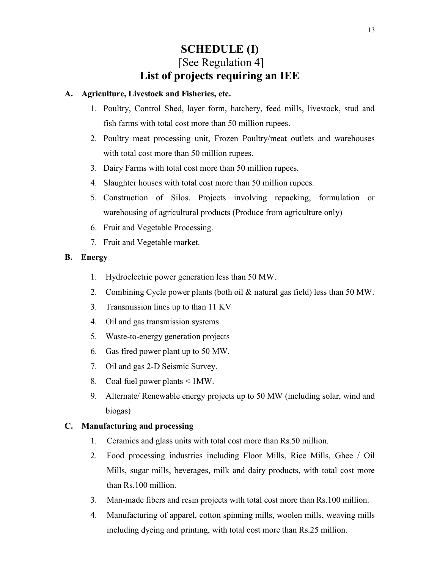### SCHEDULE (I) [See Regulation 4] List of projects requiring an IEE

#### A. Agriculture, Livestock and Fisheries, etc.

- 1. Poultry, Control Shed, layer form, hatchery, feed mills, livestock, stud and fish farms with total cost more than 50 million rupees.
- 2. Poultry meat processing unit, Frozen Poultry/meat outlets and warehouses with total cost more than 50 million rupees.
- 3. Dairy Farms with total cost more than 50 million rupees.
- 4. Slaughter houses with total cost more than 50 million rupees.
- 5. Construction of Silos. Projects involving repacking, formulation or warehousing of agricultural products (Produce from agriculture only)
- 6. Fruit and Vegetable Processing.
- 7. Fruit and Vegetable market.

### B. Energy

- 1. Hydroelectric power generation less than 50 MW.
- 2. Combining Cycle power plants (both oil & natural gas field) less than 50 MW.
- 3. Transmission lines up to than 11 KV
- 4. Oil and gas transmission systems
- 5. Waste-to-energy generation projects
- 6. Gas fired power plant up to 50 MW.
- 7. Oil and gas 2-D Seismic Survey.
- 8. Coal fuel power plants < 1MW.
- 9. Alternate/ Renewable energy projects up to 50 MW (including solar, wind and biogas)

### C. Manufacturing and processing

- 1. Ceramics and glass units with total cost more than Rs.50 million.
- 2. Food processing industries including Floor Mills, Rice Mills, Ghee / Oil Mills, sugar mills, beverages, milk and dairy products, with total cost more than Rs.100 million.
- 3. Man-made fibers and resin projects with total cost more than Rs.100 million.
- 4. Manufacturing of apparel, cotton spinning mills, woolen mills, weaving mills including dyeing and printing, with total cost more than Rs.25 million.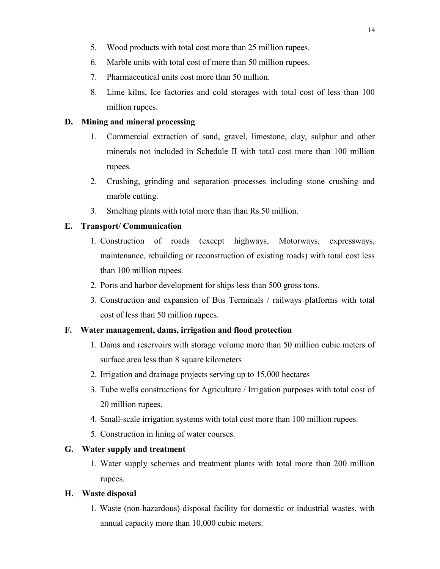- 5. Wood products with total cost more than 25 million rupees.
- 6. Marble units with total cost of more than 50 million rupees.
- 7. Pharmaceutical units cost more than 50 million.
- 8. Lime kilns, Ice factories and cold storages with total cost of less than 100 million rupees.

### D. Mining and mineral processing

- 1. Commercial extraction of sand, gravel, limestone, clay, sulphur and other minerals not included in Schedule II with total cost more than 100 million rupees.
- 2. Crushing, grinding and separation processes including stone crushing and marble cutting.
- 3. Smelting plants with total more than than Rs.50 million.

### E. Transport/ Communication

- 1. Construction of roads (except highways, Motorways, expressways, maintenance, rebuilding or reconstruction of existing roads) with total cost less than 100 million rupees.
- 2. Ports and harbor development for ships less than 500 gross tons.
- 3. Construction and expansion of Bus Terminals / railways platforms with total cost of less than 50 million rupees.

### F. Water management, dams, irrigation and flood protection

- 1. Dams and reservoirs with storage volume more than 50 million cubic meters of surface area less than 8 square kilometers
- 2. Irrigation and drainage projects serving up to 15,000 hectares
- 3. Tube wells constructions for Agriculture / Irrigation purposes with total cost of 20 million rupees.
- 4. Small-scale irrigation systems with total cost more than 100 million rupees.
- 5. Construction in lining of water courses.

### G. Water supply and treatment

1. Water supply schemes and treatment plants with total more than 200 million rupees.

### H. Waste disposal

1. Waste (non-hazardous) disposal facility for domestic or industrial wastes, with annual capacity more than 10,000 cubic meters.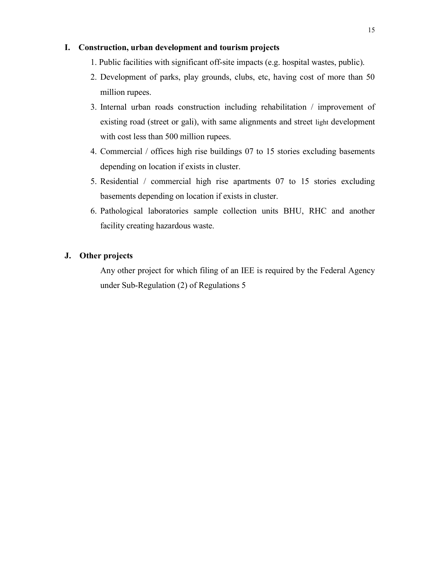#### I. Construction, urban development and tourism projects

- 1. Public facilities with significant off-site impacts (e.g. hospital wastes, public).
- 2. Development of parks, play grounds, clubs, etc, having cost of more than 50 million rupees.
- 3. Internal urban roads construction including rehabilitation / improvement of existing road (street or gali), with same alignments and street light development with cost less than 500 million rupees.
- 4. Commercial / offices high rise buildings 07 to 15 stories excluding basements depending on location if exists in cluster.
- 5. Residential / commercial high rise apartments 07 to 15 stories excluding basements depending on location if exists in cluster.
- 6. Pathological laboratories sample collection units BHU, RHC and another facility creating hazardous waste.

#### J. Other projects

Any other project for which filing of an IEE is required by the Federal Agency under Sub-Regulation (2) of Regulations 5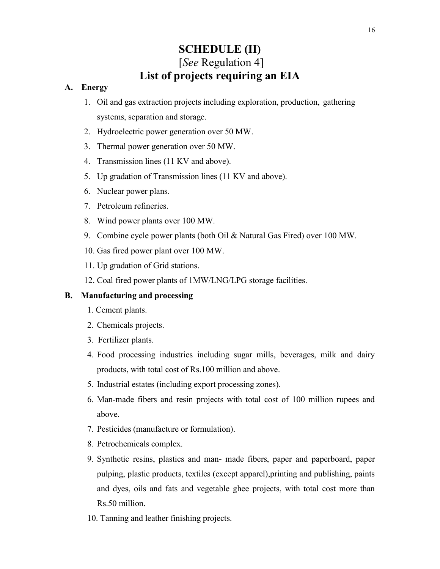# SCHEDULE (II) [See Regulation 4] List of projects requiring an EIA

#### A. Energy

- 1. Oil and gas extraction projects including exploration, production, gathering systems, separation and storage.
- 2. Hydroelectric power generation over 50 MW.
- 3. Thermal power generation over 50 MW.
- 4. Transmission lines (11 KV and above).
- 5. Up gradation of Transmission lines (11 KV and above).
- 6. Nuclear power plans.
- 7. Petroleum refineries.
- 8. Wind power plants over 100 MW.
- 9. Combine cycle power plants (both Oil & Natural Gas Fired) over 100 MW.
- 10. Gas fired power plant over 100 MW.
- 11. Up gradation of Grid stations.
- 12. Coal fired power plants of 1MW/LNG/LPG storage facilities.

#### B. Manufacturing and processing

- 1. Cement plants.
- 2. Chemicals projects.
- 3. Fertilizer plants.
- 4. Food processing industries including sugar mills, beverages, milk and dairy products, with total cost of Rs.100 million and above.
- 5. Industrial estates (including export processing zones).
- 6. Man-made fibers and resin projects with total cost of 100 million rupees and above.
- 7. Pesticides (manufacture or formulation).
- 8. Petrochemicals complex.
- 9. Synthetic resins, plastics and man- made fibers, paper and paperboard, paper pulping, plastic products, textiles (except apparel),printing and publishing, paints and dyes, oils and fats and vegetable ghee projects, with total cost more than Rs.50 million.
- 10. Tanning and leather finishing projects.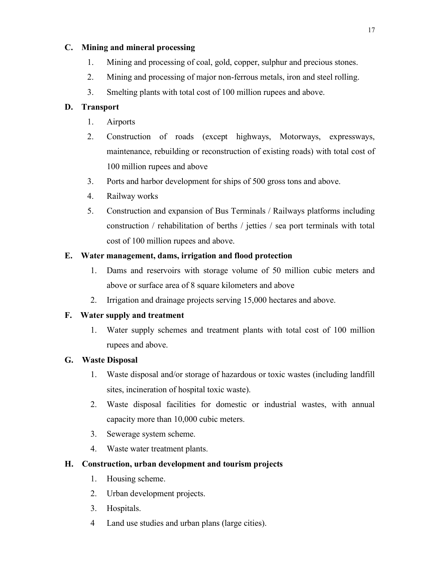### C. Mining and mineral processing

- 1. Mining and processing of coal, gold, copper, sulphur and precious stones.
- 2. Mining and processing of major non-ferrous metals, iron and steel rolling.
- 3. Smelting plants with total cost of 100 million rupees and above.

#### D. Transport

- 1. Airports
- 2. Construction of roads (except highways, Motorways, expressways, maintenance, rebuilding or reconstruction of existing roads) with total cost of 100 million rupees and above
- 3. Ports and harbor development for ships of 500 gross tons and above.
- 4. Railway works
- 5. Construction and expansion of Bus Terminals / Railways platforms including construction / rehabilitation of berths / jetties / sea port terminals with total cost of 100 million rupees and above.

#### E. Water management, dams, irrigation and flood protection

- 1. Dams and reservoirs with storage volume of 50 million cubic meters and above or surface area of 8 square kilometers and above
- 2. Irrigation and drainage projects serving 15,000 hectares and above.

#### F. Water supply and treatment

1. Water supply schemes and treatment plants with total cost of 100 million rupees and above.

### G. Waste Disposal

- 1. Waste disposal and/or storage of hazardous or toxic wastes (including landfill sites, incineration of hospital toxic waste).
- 2. Waste disposal facilities for domestic or industrial wastes, with annual capacity more than 10,000 cubic meters.
- 3. Sewerage system scheme.
- 4. Waste water treatment plants.

#### H. Construction, urban development and tourism projects

- 1. Housing scheme.
- 2. Urban development projects.
- 3. Hospitals.
- 4 Land use studies and urban plans (large cities).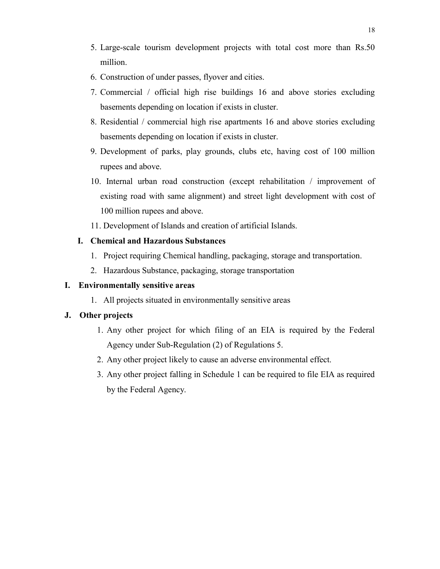- 5. Large-scale tourism development projects with total cost more than Rs.50 million.
- 6. Construction of under passes, flyover and cities.
- 7. Commercial / official high rise buildings 16 and above stories excluding basements depending on location if exists in cluster.
- 8. Residential / commercial high rise apartments 16 and above stories excluding basements depending on location if exists in cluster.
- 9. Development of parks, play grounds, clubs etc, having cost of 100 million rupees and above.
- 10. Internal urban road construction (except rehabilitation / improvement of existing road with same alignment) and street light development with cost of 100 million rupees and above.
- 11. Development of Islands and creation of artificial Islands.

#### I. Chemical and Hazardous Substances

- 1. Project requiring Chemical handling, packaging, storage and transportation.
- 2. Hazardous Substance, packaging, storage transportation

#### I. Environmentally sensitive areas

1. All projects situated in environmentally sensitive areas

#### J. Other projects

- 1. Any other project for which filing of an EIA is required by the Federal Agency under Sub-Regulation (2) of Regulations 5.
- 2. Any other project likely to cause an adverse environmental effect.
- 3. Any other project falling in Schedule 1 can be required to file EIA as required by the Federal Agency.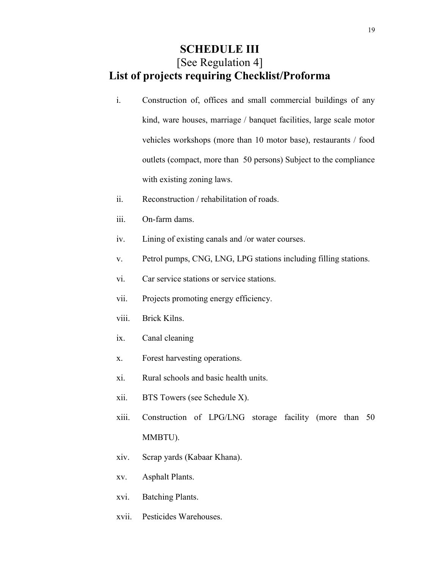### SCHEDULE III [See Regulation 4] List of projects requiring Checklist/Proforma

- i. Construction of, offices and small commercial buildings of any kind, ware houses, marriage / banquet facilities, large scale motor vehicles workshops (more than 10 motor base), restaurants / food outlets (compact, more than 50 persons) Subject to the compliance with existing zoning laws.
- ii. Reconstruction / rehabilitation of roads.
- iii. On-farm dams.
- iv. Lining of existing canals and /or water courses.
- v. Petrol pumps, CNG, LNG, LPG stations including filling stations.
- vi. Car service stations or service stations.
- vii. Projects promoting energy efficiency.
- viii. Brick Kilns.
- ix. Canal cleaning
- x. Forest harvesting operations.
- xi. Rural schools and basic health units.
- xii. BTS Towers (see Schedule X).
- xiii. Construction of LPG/LNG storage facility (more than 50 MMBTU).
- xiv. Scrap yards (Kabaar Khana).
- xv. Asphalt Plants.
- xvi. Batching Plants.
- xvii. Pesticides Warehouses.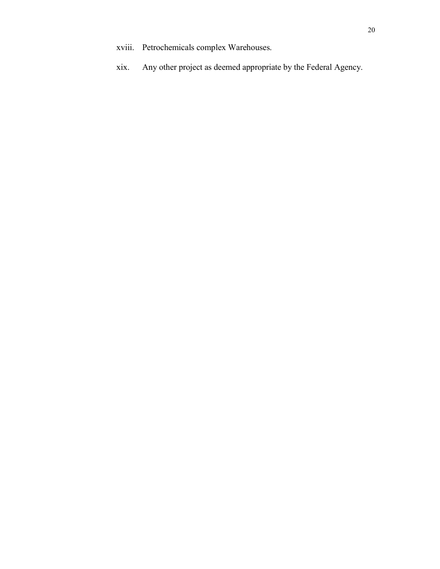- xviii. Petrochemicals complex Warehouses.
- xix. Any other project as deemed appropriate by the Federal Agency.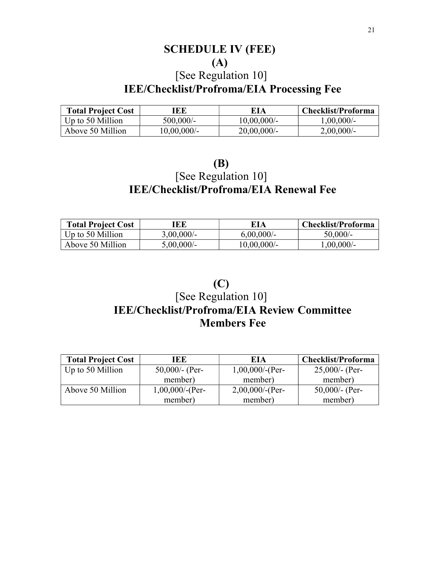# SCHEDULE IV (FEE) (A) [See Regulation 10]

# IEE/Checklist/Profroma/EIA Processing Fee

| <b>Total Project Cost</b> | ŒE             | EIA            | Checklist/Proforma |
|---------------------------|----------------|----------------|--------------------|
| Up to 50 Million          | $500,000/$ -   | $10,00,000/$ - | $1,00,000/$ -      |
| Above 50 Million          | $10,00,000/$ - | $20,00,000/$ - | $2,00,000/$ -      |

| <b>(B)</b>                                    |
|-----------------------------------------------|
| [See Regulation 10]                           |
| <b>IEE/Checklist/Profroma/EIA Renewal Fee</b> |

| <b>Total Project Cost</b> | [EE           | EIA           | <b>Checklist/Proforma</b> |
|---------------------------|---------------|---------------|---------------------------|
| Up to 50 Million          | $3,00,000/$ - | $6,00,000/$ - | $50,000/-$                |
| Above 50 Million          | $5,00,000/$ - | 10,00,000/-   | $1,00,000/$ -             |

## (C) [See Regulation 10] IEE/Checklist/Profroma/EIA Review Committee Members Fee

| <b>Total Project Cost</b> | IEE                | EIA                | <b>Checklist/Proforma</b> |
|---------------------------|--------------------|--------------------|---------------------------|
| Up to 50 Million          | 50,000/- (Per-     | $1,00,000$ /-(Per- | $25,000$ /- (Per-         |
|                           | member)            | member)            | member)                   |
| Above 50 Million          | $1,00,000$ /-(Per- | $2,00,000$ /-(Per- | 50,000/- (Per-            |
|                           | member)            | member)            | member)                   |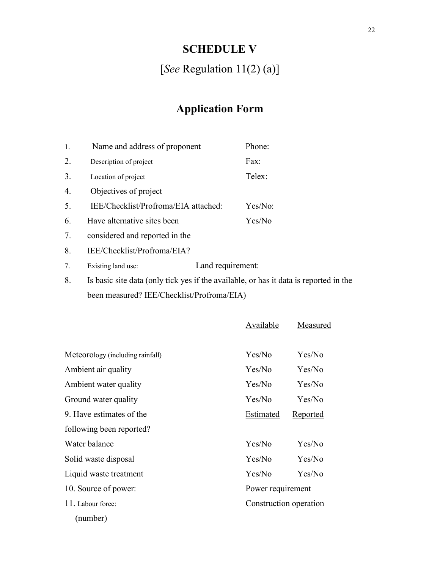# SCHEDULE V

[See Regulation 11(2) (a)]

# Application Form

| 1. | Name and address of proponent        | Phone:  |
|----|--------------------------------------|---------|
| 2. | Description of project               | Fax:    |
| 3. | Location of project                  | Telex:  |
| 4. | Objectives of project                |         |
| 5. | IEE/Checklist/Profroma/EIA attached: | Yes/No: |
| 6. | Have alternative sites been          | Yes/No  |
| 7. | considered and reported in the       |         |
|    |                                      |         |

8. IEE/Checklist/Profroma/EIA?

7. Existing land use: Land requirement:

8. Is basic site data (only tick yes if the available, or has it data is reported in the been measured? IEE/Checklist/Profroma/EIA)

|                                  | Available              | Measured        |
|----------------------------------|------------------------|-----------------|
|                                  |                        |                 |
| Meteorology (including rainfall) | Yes/No                 | Yes/No          |
| Ambient air quality              | Yes/No                 | Yes/No          |
| Ambient water quality            | Yes/No                 | Yes/No          |
| Ground water quality             | Yes/No                 | Yes/No          |
| 9. Have estimates of the         | Estimated              | <b>Reported</b> |
| following been reported?         |                        |                 |
| Water balance                    | Yes/No                 | Yes/No          |
| Solid waste disposal             | Yes/No                 | Yes/No          |
| Liquid waste treatment           | Yes/No                 | Yes/No          |
| 10. Source of power:             | Power requirement      |                 |
| 11. Labour force:                | Construction operation |                 |
| (number)                         |                        |                 |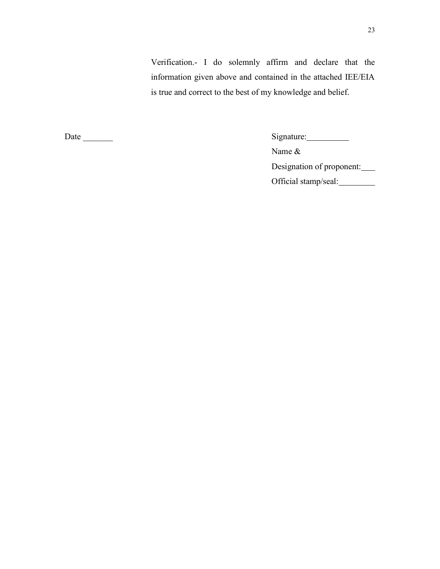Verification.- I do solemnly affirm and declare that the information given above and contained in the attached IEE/EIA is true and correct to the best of my knowledge and belief.

Date \_\_\_\_\_\_\_ Signature:

Name &

Designation of proponent:

Official stamp/seal: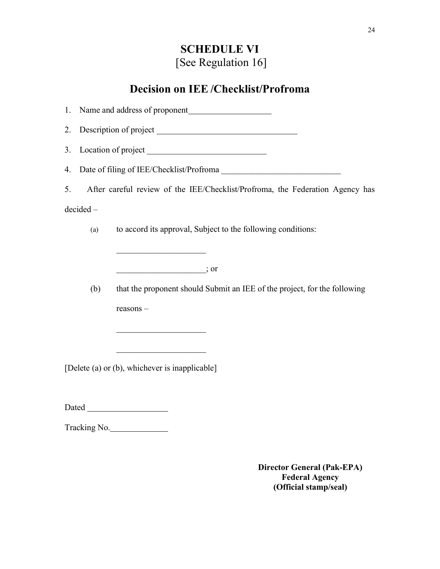# SCHEDULE VI [See Regulation 16]

### Decision on IEE /Checklist/Profroma

1. Name and address of proponent 2. Description of project 3. Location of project  $\qquad \qquad$ 4. Date of filing of IEE/Checklist/Profroma 5. After careful review of the IEE/Checklist/Profroma, the Federation Agency has decided – (a) to accord its approval, Subject to the following conditions:  $\therefore$  or (b) that the proponent should Submit an IEE of the project, for the following reasons – [Delete (a) or (b), whichever is inapplicable] Dated and the state of the state of the state of the state of the state of the state of the state of the state of the state of the state of the state of the state of the state of the state of the state of the state of the

Tracking No.

Director General (Pak-EPA) Federal Agency (Official stamp/seal)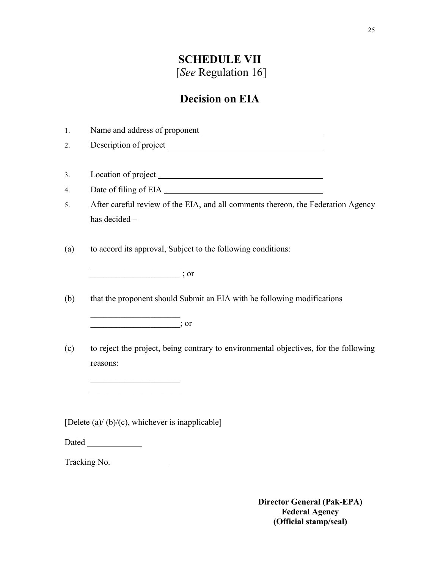# SCHEDULE VII [See Regulation 16]

### Decision on EIA

1. Name and address of proponent 2. Description of project 3. Location of project 4. Date of filing of EIA 5. After careful review of the EIA, and all comments thereon, the Federation Agency has decided – (a) to accord its approval, Subject to the following conditions:  $\overline{\phantom{a}}$  ; or (b) that the proponent should Submit an EIA with he following modifications  $\vdots$  or (c) to reject the project, being contrary to environmental objectives, for the following reasons:  $\mathcal{L}_\text{max}$  , where  $\mathcal{L}_\text{max}$  and  $\mathcal{L}_\text{max}$ [Delete (a)/ (b)/(c), whichever is inapplicable] Dated Tracking No.

> Director General (Pak-EPA) Federal Agency (Official stamp/seal)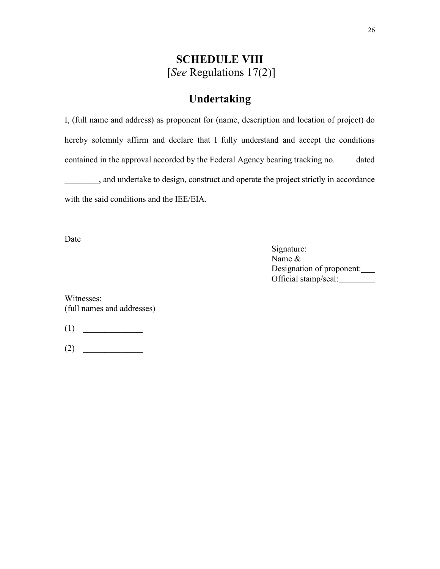### SCHEDULE VIII [See Regulations 17(2)]

### Undertaking

I, (full name and address) as proponent for (name, description and location of project) do hereby solemnly affirm and declare that I fully understand and accept the conditions contained in the approval accorded by the Federal Agency bearing tracking no.\_\_\_\_\_dated \_\_\_\_\_\_\_\_, and undertake to design, construct and operate the project strictly in accordance with the said conditions and the IEE/EIA.

Date

Signature: Name & Designation of proponent: Official stamp/seal:

Witnesses: (full names and addresses)

 $(1)$ 

 $(2)$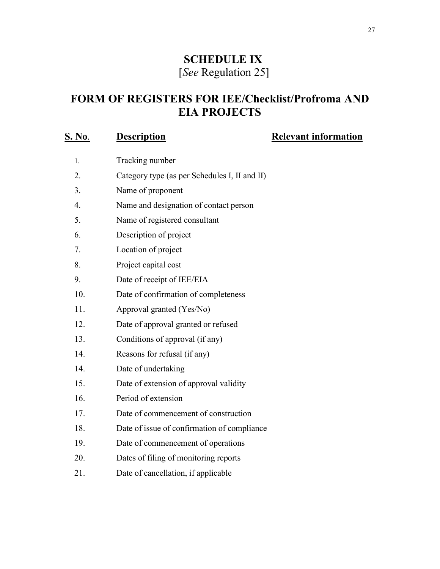# SCHEDULE IX [See Regulation 25]

# FORM OF REGISTERS FOR IEE/Checklist/Profroma AND EIA PROJECTS

# S. No. Description Relevant information

| 1.  | Tracking number                               |
|-----|-----------------------------------------------|
| 2.  | Category type (as per Schedules I, II and II) |
| 3.  | Name of proponent                             |
| 4.  | Name and designation of contact person        |
| 5.  | Name of registered consultant                 |
| 6.  | Description of project                        |
| 7.  | Location of project                           |
| 8.  | Project capital cost                          |
| 9.  | Date of receipt of IEE/EIA                    |
| 10. | Date of confirmation of completeness          |
| 11. | Approval granted (Yes/No)                     |
| 12. | Date of approval granted or refused           |
| 13. | Conditions of approval (if any)               |
| 14. | Reasons for refusal (if any)                  |
| 14. | Date of undertaking                           |
| 15. | Date of extension of approval validity        |
| 16. | Period of extension                           |
| 17. | Date of commencement of construction          |
| 18. | Date of issue of confirmation of compliance   |
| 19. | Date of commencement of operations            |
| 20. | Dates of filing of monitoring reports         |
| 21. | Date of cancellation, if applicable           |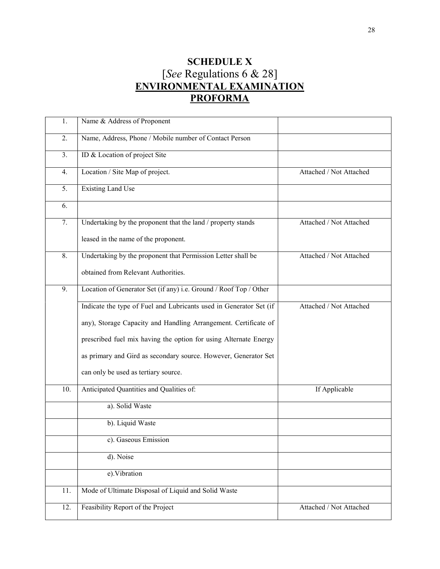### SCHEDULE X [See Regulations 6 & 28] ENVIRONMENTAL EXAMINATION **PROFORMA**

| 1.  | Name & Address of Proponent                                        |                         |
|-----|--------------------------------------------------------------------|-------------------------|
| 2.  | Name, Address, Phone / Mobile number of Contact Person             |                         |
| 3.  | ID & Location of project Site                                      |                         |
| 4.  | Location / Site Map of project.                                    | Attached / Not Attached |
| 5.  | <b>Existing Land Use</b>                                           |                         |
| 6.  |                                                                    |                         |
| 7.  | Undertaking by the proponent that the land / property stands       | Attached / Not Attached |
|     | leased in the name of the proponent.                               |                         |
| 8.  | Undertaking by the proponent that Permission Letter shall be       | Attached / Not Attached |
|     | obtained from Relevant Authorities.                                |                         |
| 9.  | Location of Generator Set (if any) i.e. Ground / Roof Top / Other  |                         |
|     | Indicate the type of Fuel and Lubricants used in Generator Set (if | Attached / Not Attached |
|     | any), Storage Capacity and Handling Arrangement. Certificate of    |                         |
|     | prescribed fuel mix having the option for using Alternate Energy   |                         |
|     | as primary and Gird as secondary source. However, Generator Set    |                         |
|     | can only be used as tertiary source.                               |                         |
| 10. | Anticipated Quantities and Qualities of:                           | If Applicable           |
|     | a). Solid Waste                                                    |                         |
|     | b). Liquid Waste                                                   |                         |
|     | c). Gaseous Emission                                               |                         |
|     | d). Noise                                                          |                         |
|     | e). Vibration                                                      |                         |
| 11. | Mode of Ultimate Disposal of Liquid and Solid Waste                |                         |
| 12. | Feasibility Report of the Project                                  | Attached / Not Attached |
|     |                                                                    |                         |